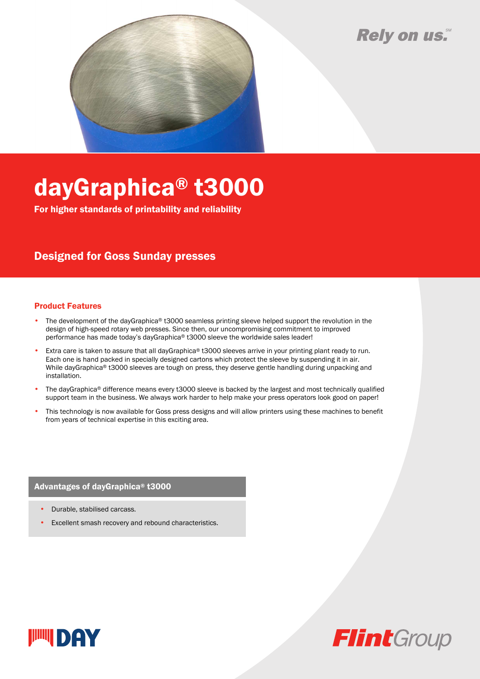## Rely on us.



# dayGraphica® t3000

For higher standards of printability and reliability

### Designed for Goss Sunday presses

#### Product Features

- The development of the dayGraphica® t3000 seamless printing sleeve helped support the revolution in the design of high-speed rotary web presses. Since then, our uncompromising commitment to improved performance has made today's dayGraphica® t3000 sleeve the worldwide sales leader!
- Extra care is taken to assure that all dayGraphica® t3000 sleeves arrive in your printing plant ready to run. Each one is hand packed in specially designed cartons which protect the sleeve by suspending it in air. While dayGraphica® t3000 sleeves are tough on press, they deserve gentle handling during unpacking and installation.
- The dayGraphica® difference means every t3000 sleeve is backed by the largest and most technically qualified support team in the business. We always work harder to help make your press operators look good on paper!
- This technology is now available for Goss press designs and will allow printers using these machines to benefit from years of technical expertise in this exciting area.

#### Advantages of dayGraphica® t3000

- Durable, stabilised carcass.
- Excellent smash recovery and rebound characteristics.